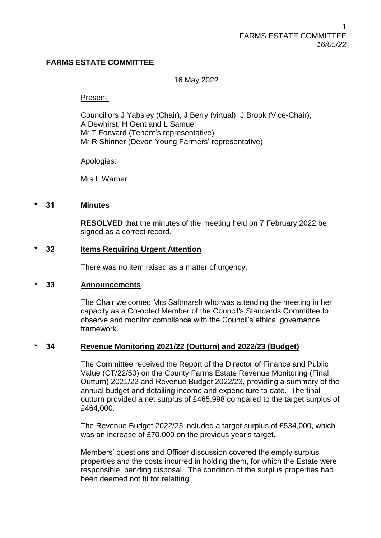# **FARMS ESTATE COMMITTEE**

## 16 May 2022

#### Present:

Councillors J Yabsley (Chair), J Berry (virtual), J Brook (Vice-Chair), A Dewhirst, H Gent and L Samuel Mr T Forward (Tenant's representative) Mr R Shinner (Devon Young Farmers' representative)

Apologies:

Mrs L Warner

#### **\* 31 Minutes**

**RESOLVED** that the minutes of the meeting held on 7 February 2022 be signed as a correct record.

### **\* 32 Items Requiring Urgent Attention**

There was no item raised as a matter of urgency.

#### **\* 33 Announcements**

The Chair welcomed Mrs Saltmarsh who was attending the meeting in her capacity as a Co-opted Member of the Council's Standards Committee to observe and monitor compliance with the Council's ethical governance framework.

#### **\* 34 Revenue Monitoring 2021/22 (Outturn) and 2022/23 (Budget)**

The Committee received the Report of the Director of Finance and Public Value (CT/22/50) on the County Farms Estate Revenue Monitoring (Final Outturn) 2021/22 and Revenue Budget 2022/23, providing a summary of the annual budget and detailing income and expenditure to date. The final outturn provided a net surplus of £465,998 compared to the target surplus of £464,000.

The Revenue Budget 2022/23 included a target surplus of £534,000, which was an increase of £70,000 on the previous year's target.

Members' questions and Officer discussion covered the empty surplus properties and the costs incurred in holding them, for which the Estate were responsible, pending disposal. The condition of the surplus properties had been deemed not fit for reletting.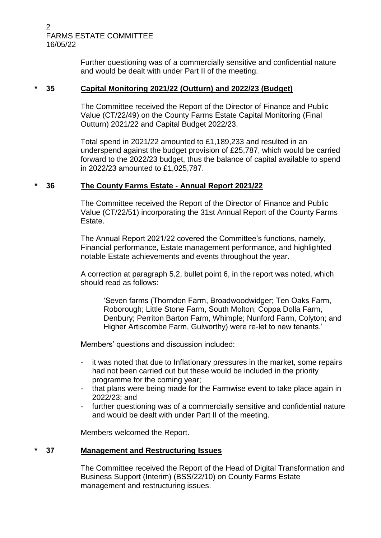#### 2 FARMS ESTATE COMMITTEE 16/05/22

Further questioning was of a commercially sensitive and confidential nature and would be dealt with under Part II of the meeting.

## **\* 35 Capital Monitoring 2021/22 (Outturn) and 2022/23 (Budget)**

The Committee received the Report of the Director of Finance and Public Value (CT/22/49) on the County Farms Estate Capital Monitoring (Final Outturn) 2021/22 and Capital Budget 2022/23.

Total spend in 2021/22 amounted to £1,189,233 and resulted in an underspend against the budget provision of £25,787, which would be carried forward to the 2022/23 budget, thus the balance of capital available to spend in 2022/23 amounted to £1,025,787.

# **\* 36 The County Farms Estate - Annual Report 2021/22**

The Committee received the Report of the Director of Finance and Public Value (CT/22/51) incorporating the 31st Annual Report of the County Farms Estate.

The Annual Report 2021/22 covered the Committee's functions, namely, Financial performance, Estate management performance, and highlighted notable Estate achievements and events throughout the year.

A correction at paragraph 5.2, bullet point 6, in the report was noted, which should read as follows:

'Seven farms (Thorndon Farm, Broadwoodwidger; Ten Oaks Farm, Roborough; Little Stone Farm, South Molton; Coppa Dolla Farm, Denbury; Perriton Barton Farm, Whimple; Nunford Farm, Colyton; and Higher Artiscombe Farm, Gulworthy) were re-let to new tenants.'

Members' questions and discussion included:

- it was noted that due to Inflationary pressures in the market, some repairs had not been carried out but these would be included in the priority programme for the coming year;
- that plans were being made for the Farmwise event to take place again in 2022/23; and
- further questioning was of a commercially sensitive and confidential nature and would be dealt with under Part II of the meeting.

Members welcomed the Report.

# **\* 37 Management and Restructuring Issues**

The Committee received the Report of the Head of Digital Transformation and Business Support (Interim) (BSS/22/10) on County Farms Estate management and restructuring issues.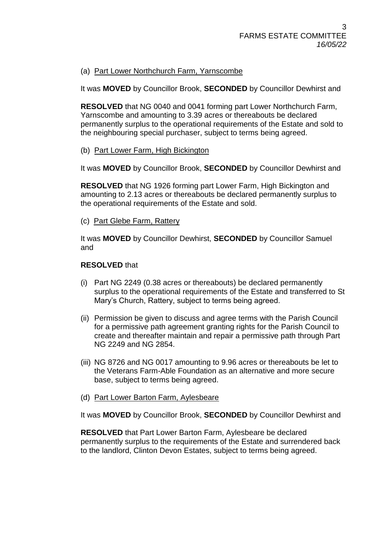# (a) Part Lower Northchurch Farm, Yarnscombe

It was **MOVED** by Councillor Brook, **SECONDED** by Councillor Dewhirst and

**RESOLVED** that NG 0040 and 0041 forming part Lower Northchurch Farm, Yarnscombe and amounting to 3.39 acres or thereabouts be declared permanently surplus to the operational requirements of the Estate and sold to the neighbouring special purchaser, subject to terms being agreed.

(b) Part Lower Farm, High Bickington

It was **MOVED** by Councillor Brook, **SECONDED** by Councillor Dewhirst and

**RESOLVED** that NG 1926 forming part Lower Farm, High Bickington and amounting to 2.13 acres or thereabouts be declared permanently surplus to the operational requirements of the Estate and sold.

(c) Part Glebe Farm, Rattery

It was **MOVED** by Councillor Dewhirst, **SECONDED** by Councillor Samuel and

### **RESOLVED** that

- (i) Part NG 2249 (0.38 acres or thereabouts) be declared permanently surplus to the operational requirements of the Estate and transferred to St Mary's Church, Rattery, subject to terms being agreed.
- (ii) Permission be given to discuss and agree terms with the Parish Council for a permissive path agreement granting rights for the Parish Council to create and thereafter maintain and repair a permissive path through Part NG 2249 and NG 2854.
- (iii) NG 8726 and NG 0017 amounting to 9.96 acres or thereabouts be let to the Veterans Farm-Able Foundation as an alternative and more secure base, subject to terms being agreed.
- (d) Part Lower Barton Farm, Aylesbeare

It was **MOVED** by Councillor Brook, **SECONDED** by Councillor Dewhirst and

**RESOLVED** that Part Lower Barton Farm, Aylesbeare be declared permanently surplus to the requirements of the Estate and surrendered back to the landlord, Clinton Devon Estates, subject to terms being agreed.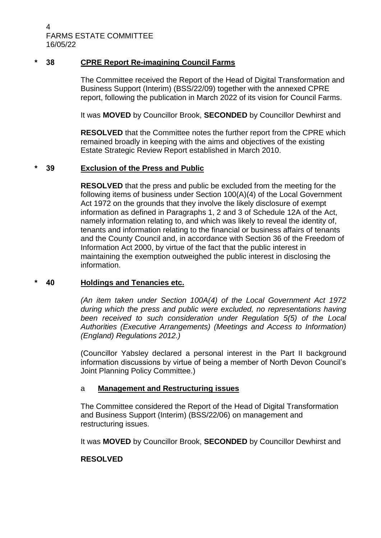4 FARMS ESTATE COMMITTEE 16/05/22

# **\* 38 CPRE Report Re-imagining Council Farms**

The Committee received the Report of the Head of Digital Transformation and Business Support (Interim) (BSS/22/09) together with the annexed CPRE report, following the publication in March 2022 of its vision for Council Farms.

It was **MOVED** by Councillor Brook, **SECONDED** by Councillor Dewhirst and

**RESOLVED** that the Committee notes the further report from the CPRE which remained broadly in keeping with the aims and objectives of the existing Estate Strategic Review Report established in March 2010.

#### **\* 39 Exclusion of the Press and Public**

**RESOLVED** that the press and public be excluded from the meeting for the following items of business under Section 100(A)(4) of the Local Government Act 1972 on the grounds that they involve the likely disclosure of exempt information as defined in Paragraphs 1, 2 and 3 of Schedule 12A of the Act, namely information relating to, and which was likely to reveal the identity of, tenants and information relating to the financial or business affairs of tenants and the County Council and, in accordance with Section 36 of the Freedom of Information Act 2000, by virtue of the fact that the public interest in maintaining the exemption outweighed the public interest in disclosing the information.

#### **\* 40 Holdings and Tenancies etc.**

*(An item taken under Section 100A(4) of the Local Government Act 1972 during which the press and public were excluded, no representations having been received to such consideration under Regulation 5(5) of the Local Authorities (Executive Arrangements) (Meetings and Access to Information) (England) Regulations 2012.)*

(Councillor Yabsley declared a personal interest in the Part II background information discussions by virtue of being a member of North Devon Council's Joint Planning Policy Committee.)

# a **Management and Restructuring issues**

The Committee considered the Report of the Head of Digital Transformation and Business Support (Interim) (BSS/22/06) on management and restructuring issues.

It was **MOVED** by Councillor Brook, **SECONDED** by Councillor Dewhirst and

#### **RESOLVED**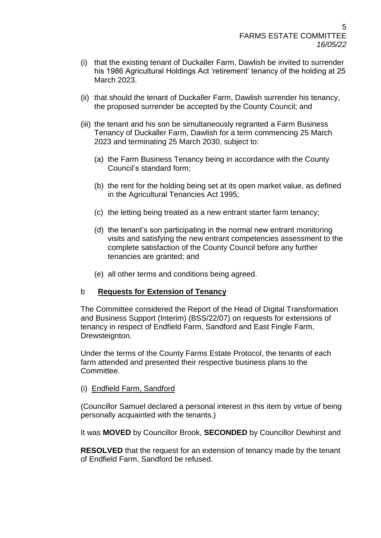- (i) that the existing tenant of Duckaller Farm, Dawlish be invited to surrender his 1986 Agricultural Holdings Act 'retirement' tenancy of the holding at 25 March 2023.
- (ii) that should the tenant of Duckaller Farm, Dawlish surrender his tenancy, the proposed surrender be accepted by the County Council; and
- (iii) the tenant and his son be simultaneously regranted a Farm Business Tenancy of Duckaller Farm, Dawlish for a term commencing 25 March 2023 and terminating 25 March 2030, subject to:
	- (a) the Farm Business Tenancy being in accordance with the County Council's standard form;
	- (b) the rent for the holding being set at its open market value, as defined in the Agricultural Tenancies Act 1995;
	- (c) the letting being treated as a new entrant starter farm tenancy;
	- (d) the tenant's son participating in the normal new entrant monitoring visits and satisfying the new entrant competencies assessment to the complete satisfaction of the County Council before any further tenancies are granted; and
	- (e) all other terms and conditions being agreed.

# b **Requests for Extension of Tenancy**

The Committee considered the Report of the Head of Digital Transformation and Business Support (Interim) (BSS/22/07) on requests for extensions of tenancy in respect of Endfield Farm, Sandford and East Fingle Farm, Drewsteignton.

Under the terms of the County Farms Estate Protocol, the tenants of each farm attended and presented their respective business plans to the Committee.

# (i) Endfield Farm, Sandford

(Councillor Samuel declared a personal interest in this item by virtue of being personally acquainted with the tenants.)

It was **MOVED** by Councillor Brook, **SECONDED** by Councillor Dewhirst and

**RESOLVED** that the request for an extension of tenancy made by the tenant of Endfield Farm, Sandford be refused.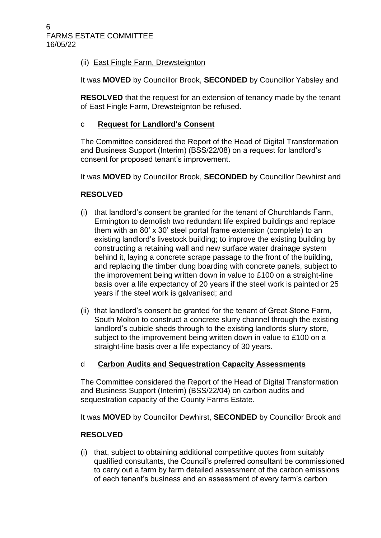# (ii) East Fingle Farm, Drewsteignton

It was **MOVED** by Councillor Brook, **SECONDED** by Councillor Yabsley and

**RESOLVED** that the request for an extension of tenancy made by the tenant of East Fingle Farm, Drewsteignton be refused.

# c **Request for Landlord's Consent**

The Committee considered the Report of the Head of Digital Transformation and Business Support (Interim) (BSS/22/08) on a request for landlord's consent for proposed tenant's improvement.

It was **MOVED** by Councillor Brook, **SECONDED** by Councillor Dewhirst and

# **RESOLVED**

- (i) that landlord's consent be granted for the tenant of Churchlands Farm, Ermington to demolish two redundant life expired buildings and replace them with an 80' x 30' steel portal frame extension (complete) to an existing landlord's livestock building; to improve the existing building by constructing a retaining wall and new surface water drainage system behind it, laying a concrete scrape passage to the front of the building, and replacing the timber dung boarding with concrete panels, subject to the improvement being written down in value to £100 on a straight-line basis over a life expectancy of 20 years if the steel work is painted or 25 years if the steel work is galvanised; and
- (ii) that landlord's consent be granted for the tenant of Great Stone Farm, South Molton to construct a concrete slurry channel through the existing landlord's cubicle sheds through to the existing landlords slurry store, subject to the improvement being written down in value to £100 on a straight-line basis over a life expectancy of 30 years.

# d **Carbon Audits and Sequestration Capacity Assessments**

The Committee considered the Report of the Head of Digital Transformation and Business Support (Interim) (BSS/22/04) on carbon audits and sequestration capacity of the County Farms Estate.

It was **MOVED** by Councillor Dewhirst, **SECONDED** by Councillor Brook and

# **RESOLVED**

(i) that, subject to obtaining additional competitive quotes from suitably qualified consultants, the Council's preferred consultant be commissioned to carry out a farm by farm detailed assessment of the carbon emissions of each tenant's business and an assessment of every farm's carbon